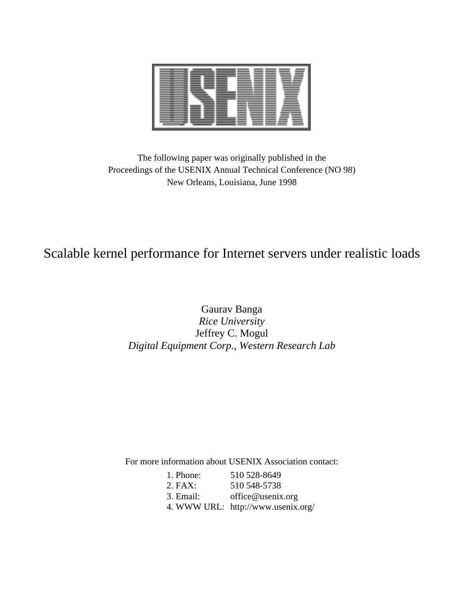

The following paper was originally published in the Proceedings of the USENIX Annual Technical Conference (NO 98) New Orleans, Louisiana, June 1998

# Scalable kernel performance for Internet servers under realistic loads

## Gaurav Banga *Rice University* Jeffrey C. Mogul *Digital Equipment Corp., Western Research Lab*

For more information about USENIX Association contact:

| 1. Phone: | 510 528-8649                       |
|-----------|------------------------------------|
| $2.$ FAX: | 510 548-5738                       |
| 3. Email: | office@usenix.org                  |
|           | 4. WWW URL: http://www.usenix.org/ |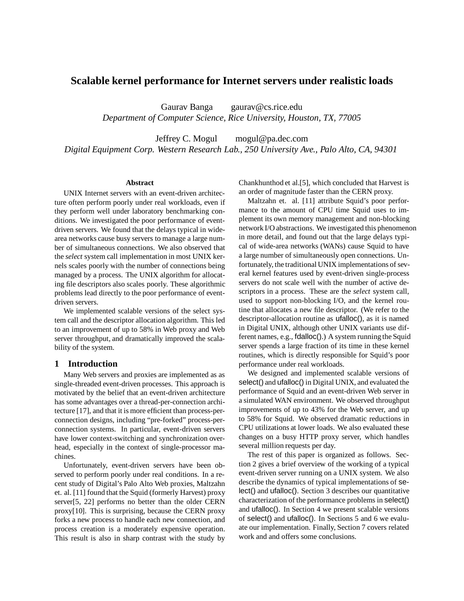## **Scalable kernel performance for Internet servers under realistic loads**

Gaurav Banga gaurav@cs.rice.edu *Department of Computer Science, Rice University, Houston, TX, 77005*

Jeffrey C. Mogul mogul@pa.dec.com *Digital Equipment Corp. Western Research Lab., 250 University Ave., Palo Alto, CA, 94301*

#### **Abstract**

UNIX Internet servers with an event-driven architecture often perform poorly under real workloads, even if they perform well under laboratory benchmarking conditions. We investigated the poor performance of eventdriven servers. We found that the delays typical in widearea networks cause busy servers to manage a large number of simultaneous connections. We also observed that the *select* system call implementation in most UNIX kernels scales poorly with the number of connections being managed by a process. The UNIX algorithm for allocating file descriptors also scales poorly. These algorithmic problems lead directly to the poor performance of eventdriven servers.

We implemented scalable versions of the select system call and the descriptor allocation algorithm. This led to an improvement of up to 58% in Web proxy and Web server throughput, and dramatically improved the scalability of the system.

## **1 Introduction**

Many Web servers and proxies are implemented as as single-threaded event-driven processes. This approach is motivated by the belief that an event-driven architecture has some advantages over a thread-per-connection architecture [17], and that it is more efficient than process-perconnection designs, including "pre-forked" process-perconnection systems. In particular, event-driven servers have lower context-switching and synchronization overhead, especially in the context of single-processor machines.

Unfortunately, event-driven servers have been observed to perform poorly under real conditions. In a recent study of Digital's Palo Alto Web proxies, Maltzahn et. al. [11] found that the Squid (formerly Harvest) proxy server[5, 22] performs no better than the older CERN proxy[10]. This is surprising, because the CERN proxy forks a new process to handle each new connection, and process creation is a moderately expensive operation. This result is also in sharp contrast with the study by Chankhunthod et al.[5], which concluded that Harvest is an order of magnitude faster than the CERN proxy.

Maltzahn et. al. [11] attribute Squid's poor performance to the amount of CPU time Squid uses to implement its own memory management and non-blocking network I/O abstractions. We investigated this phenomenon in more detail, and found out that the large delays typical of wide-area networks (WANs) cause Squid to have a large number of simultaneously open connections. Unfortunately, the traditional UNIX implementations of several kernel features used by event-driven single-process servers do not scale well with the number of active descriptors in a process. These are the *select* system call, used to support non-blocking I/O, and the kernel routine that allocates a new file descriptor. (We refer to the descriptor-allocation routine as ufalloc(), as it is named in Digital UNIX, although other UNIX variants use different names, e.g., fdalloc().) A system running the Squid server spends a large fraction of its time in these kernel routines, which is directly responsible for Squid's poor performance under real workloads.

We designed and implemented scalable versions of select() and ufalloc() in Digital UNIX, and evaluated the performance of Squid and an event-driven Web server in a simulated WAN environment. We observed throughput improvements of up to 43% for the Web server, and up to 58% for Squid. We observed dramatic reductions in CPU utilizations at lower loads. We also evaluated these changes on a busy HTTP proxy server, which handles several million requests per day.

The rest of this paper is organized as follows. Section 2 gives a brief overview of the working of a typical event-driven server running on a UNIX system. We also describe the dynamics of typical implementations of select() and ufalloc(). Section 3 describes our quantitative characterization of the performance problems in select() and ufalloc(). In Section 4 we present scalable versions of select() and ufalloc(). In Sections 5 and 6 we evaluate our implementation. Finally, Section 7 covers related work and and offers some conclusions.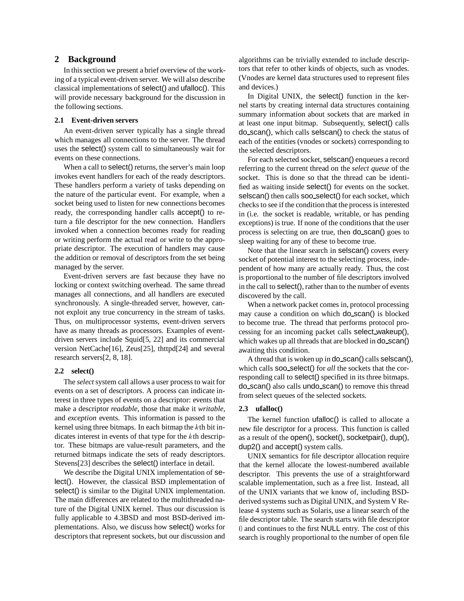## **2 Background**

In this section we present a brief overview of the working of a typical event-driven server. We will also describe classical implementations of select() and ufalloc(). This will provide necessary background for the discussion in the following sections.

#### **2.1 Event-driven servers**

An event-driven server typically has a single thread which manages all connections to the server. The thread uses the select() system call to simultaneously wait for events on these connections.

When a call to select() returns, the server's main loop invokes event handlers for each of the ready descriptors. These handlers perform a variety of tasks depending on the nature of the particular event. For example, when a socket being used to listen for new connections becomes ready, the corresponding handler calls accept() to return a file descriptor for the new connection. Handlers invoked when a connection becomes ready for reading or writing perform the actual read or write to the appropriate descriptor. The execution of handlers may cause the addition or removal of descriptors from the set being managed by the server.

Event-driven servers are fast because they have no locking or context switching overhead. The same thread manages all connections, and all handlers are executed synchronously. A single-threaded server, however, cannot exploit any true concurrency in the stream of tasks. Thus, on multiprocessor systems, event-driven servers have as many threads as processors. Examples of eventdriven servers include Squid[5, 22] and its commercial version NetCache[16], Zeus[25], thttpd[24] and several research servers[2, 8, 18].

#### **2.2 select()**

The *select* system call allows a user process to wait for events on a set of descriptors. A process can indicate interest in three types of events on a descriptor: events that make a descriptor *readable*, those that make it *writable*, and *exception* events. This information is passed to the kernel using three bitmaps. In each bitmap the  $k$ th bit indicates interest in events of that type for the kth descriptor. These bitmaps are value-result parameters, and the returned bitmaps indicate the sets of ready descriptors. Stevens[23] describes the select() interface in detail.

We describe the Digital UNIX implementation of select(). However, the classical BSD implementation of select() is similar to the Digital UNIX implementation. The main differences are related to the multithreaded nature of the Digital UNIX kernel. Thus our discussion is fully applicable to 4.3BSD and most BSD-derived implementations. Also, we discuss how select() works for descriptors that represent sockets, but our discussion and algorithms can be trivially extended to include descriptors that refer to other kinds of objects, such as vnodes. (Vnodes are kernel data structures used to represent files and devices.)

In Digital UNIX, the select() function in the kernel starts by creating internal data structures containing summary information about sockets that are marked in at least one input bitmap. Subsequently, select() calls do scan(), which calls selscan() to check the status of each of the entities (vnodes or sockets) corresponding to the selected descriptors.

For each selected socket, selscan() enqueues a record referring to the current thread on the *select queue* of the socket. This is done so that the thread can be identified as waiting inside select() for events on the socket. selscan() then calls soo\_select() for each socket, which checks to see if the condition that the process is interested in (i.e. the socket is readable, writable, or has pending exceptions) is true. If none of the conditions that the user process is selecting on are true, then do scan() goes to sleep waiting for any of these to become true.

Note that the linear search in selscan() covers every socket of potential interest to the selecting process, independent of how many are actually ready. Thus, the cost is proportional to the number of file descriptors involved in the call to select(), rather than to the number of events discovered by the call.

When a network packet comes in, protocol processing may cause a condition on which do scan() is blocked to become true. The thread that performs protocol processing for an incoming packet calls select wakeup(), which wakes up all threads that are blocked in do\_scan() awaiting this condition.

A thread that is woken up in do\_scan() calls selscan(), which calls **soo\_select**() for *all* the sockets that the corresponding call to select() specified in its three bitmaps. do scan() also calls undo scan() to remove this thread from select queues of the selected sockets.

#### **2.3 ufalloc()**

The kernel function ufalloc() is called to allocate a new file descriptor for a process. This function is called as a result of the open $($ ), socket $($ ), socketpair $($ ), dup $($ ), dup2() and accept() system calls.

UNIX semantics for file descriptor allocation require that the kernel allocate the lowest-numbered available descriptor. This prevents the use of a straightforward scalable implementation, such as a free list. Instead, all of the UNIX variants that we know of, including BSDderived systems such as Digital UNIX, and System V Release 4 systems such as Solaris, use a linear search of the file descriptor table. The search starts with file descriptor <sup>0</sup> and continues to the first NULL entry. The cost of this search is roughly proportional to the number of open file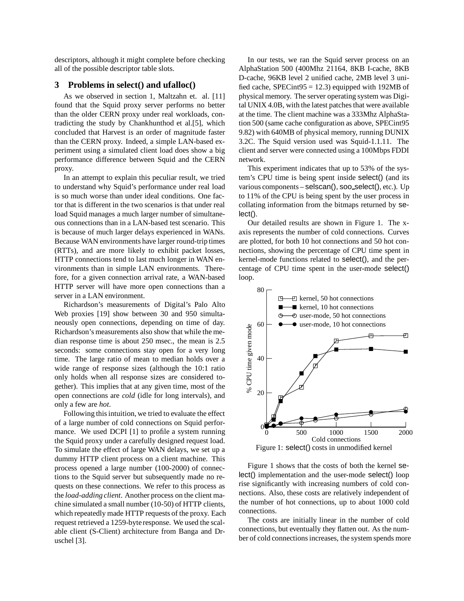descriptors, although it might complete before checking all of the possible descriptor table slots.

#### **3 Problems in select() and ufalloc()**

As we observed in section 1, Maltzahn et. al. [11] found that the Squid proxy server performs no better than the older CERN proxy under real workloads, contradicting the study by Chankhunthod et al.[5], which concluded that Harvest is an order of magnitude faster than the CERN proxy. Indeed, a simple LAN-based experiment using a simulated client load does show a big performance difference between Squid and the CERN proxy.

In an attempt to explain this peculiar result, we tried to understand why Squid's performance under real load is so much worse than under ideal conditions. One factor that is different in the two scenarios is that under real load Squid manages a much larger number of simultaneous connections than in a LAN-based test scenario. This is because of much larger delays experienced in WANs. Because WAN environments have larger round-trip times (RTTs), and are more likely to exhibit packet losses, HTTP connections tend to last much longer in WAN environments than in simple LAN environments. Therefore, for a given connection arrival rate, a WAN-based HTTP server will have more open connections than a server in a LAN environment.

Richardson's measurements of Digital's Palo Alto Web proxies [19] show between 30 and 950 simultaneously open connections, depending on time of day. Richardson's measurements also show that while the median response time is about 250 msec., the mean is 2.5 seconds: some connections stay open for a very long time. The large ratio of mean to median holds over a wide range of response sizes (although the 10:1 ratio only holds when all response sizes are considered together). This implies that at any given time, most of the open connections are *cold* (idle for long intervals), and only a few are *hot*.

Following this intuition, we tried to evaluate the effect of a large number of cold connections on Squid performance. We used DCPI [1] to profile a system running the Squid proxy under a carefully designed request load. To simulate the effect of large WAN delays, we set up a dummy HTTP client process on a client machine. This process opened a large number (100-2000) of connections to the Squid server but subsequently made no requests on these connections. We refer to this process as the *load-adding client*. Another process on the client machine simulated a small number (10-50) of HTTP clients, which repeatedly made HTTP requests of the proxy. Each request retrieved a 1259-byte response. We used the scalable client (S-Client) architecture from Banga and Druschel [3].

In our tests, we ran the Squid server process on an AlphaStation 500 (400Mhz 21164, 8KB I-cache, 8KB D-cache, 96KB level 2 unified cache, 2MB level 3 unified cache, SPECint $95 = 12.3$ ) equipped with 192MB of physical memory. The server operating system was Digital UNIX 4.0B, with the latest patches that were available at the time. The client machine was a 333Mhz AlphaStation 500 (same cache configuration as above, SPECint95 9.82) with 640MB of physical memory, running DUNIX 3.2C. The Squid version used was Squid-1.1.11. The client and server were connected using a 100Mbps FDDI network.

This experiment indicates that up to 53% of the system's CPU time is being spent inside select() (and its various components – selscan(), soo select(), etc.). Up to 11% of the CPU is being spent by the user process in collating information from the bitmaps returned by select().

Our detailed results are shown in Figure 1. The xaxis represents the number of cold connections. Curves are plotted, for both 10 hot connections and 50 hot connections, showing the percentage of CPU time spent in kernel-mode functions related to select(), and the percentage of CPU time spent in the user-mode select() loop.



Figure 1 shows that the costs of both the kernel select() implementation and the user-mode select() loop rise significantly with increasing numbers of cold connections. Also, these costs are relatively independent of the number of hot connections, up to about 1000 cold connections.

The costs are initially linear in the number of cold connections, but eventually they flatten out. As the number of cold connections increases, the system spends more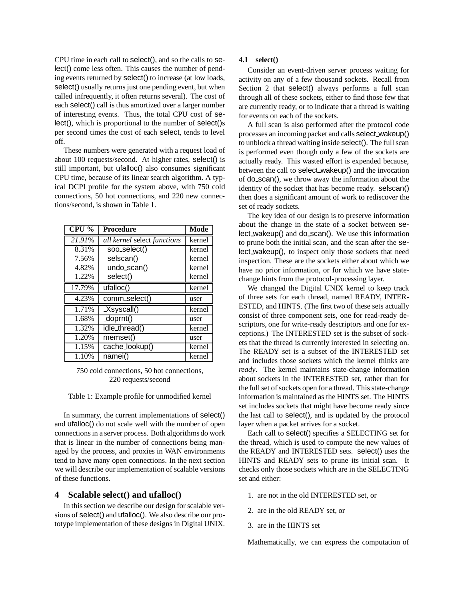CPU time in each call to select(), and so the calls to select() come less often. This causes the number of pending events returned by select() to increase (at low loads, select() usually returns just one pending event, but when called infrequently, it often returns several). The cost of each select() call is thus amortized over a larger number of interesting events. Thus, the total CPU cost of select(), which is proportional to the number of select()s per second times the cost of each select, tends to level off.

These numbers were generated with a request load of about 100 requests/second. At higher rates, select() is still important, but ufalloc() also consumes significant CPU time, because of its linear search algorithm. A typical DCPI profile for the system above, with 750 cold connections, 50 hot connections, and 220 new connections/second, is shown in Table 1.

| $\overline{\text{CPU}}$ % | <b>Procedure</b>            | Mode   |
|---------------------------|-----------------------------|--------|
| 21.91%                    | all kernel select functions | kernel |
| 8.31%                     | soo_select()                | kernel |
| 7.56%                     | selscan()                   | kernel |
| 4.82%                     | $undo\_scan()$              | kernel |
| 1.22%                     | select()                    | kernel |
| 17.79%                    | $\overline{u}$ falloc()     | kernel |
| 4.23%                     | comm_select()               | user   |
| 1.71%                     | $X$ syscall()               | kernel |
| 1.68%                     | doprnt()                    | user   |
| 1.32%                     | idle_thread()               | kernel |
| 1.20%                     | memset()                    | user   |
| 1.15%                     | cache_lookup()              | kernel |
| 1.10%                     | namei()                     | kernel |

750 cold connections, 50 hot connections, 220 requests/second

Table 1: Example profile for unmodified kernel

In summary, the current implementations of select() and ufalloc() do not scale well with the number of open connections in a server process. Both algorithms do work that is linear in the number of connections being managed by the process, and proxies in WAN environments tend to have many open connections. In the next section we will describe our implementation of scalable versions of these functions.

#### **4 Scalable select() and ufalloc()**

In this section we describe our design for scalable versions of select() and ufalloc(). We also describe our prototype implementation of these designs in Digital UNIX.

## **4.1 select()**

Consider an event-driven server process waiting for activity on any of a few thousand sockets. Recall from Section 2 that select() always performs a full scan through all of these sockets, either to find those few that are currently ready, or to indicate that a thread is waiting for events on each of the sockets.

A full scan is also performed after the protocol code processes an incoming packet and calls select wakeup() to unblock a thread waiting inside select(). The full scan is performed even though only a few of the sockets are actually ready. This wasted effort is expended because, between the call to select wakeup() and the invocation of do scan(), we throw away the information about the identity of the socket that has become ready. selscan() then does a significant amount of work to rediscover the set of ready sockets.

The key idea of our design is to preserve information about the change in the state of a socket between select wakeup() and do scan(). We use this information to prune both the initial scan, and the scan after the select wakeup(), to inspect only those sockets that need inspection. These are the sockets either about which we have no prior information, or for which we have statechange hints from the protocol-processing layer.

We changed the Digital UNIX kernel to keep track of three sets for each thread, named READY, INTER-ESTED, and HINTS. (The first two of these sets actually consist of three component sets, one for read-ready descriptors, one for write-ready descriptors and one for exceptions.) The INTERESTED set is the subset of sockets that the thread is currently interested in selecting on. The READY set is a subset of the INTERESTED set and includes those sockets which the kernel thinks are *ready*. The kernel maintains state-change information about sockets in the INTERESTED set, rather than for the full set of sockets open for a thread. This state-change information is maintained as the HINTS set. The HINTS set includes sockets that might have become ready since the last call to select(), and is updated by the protocol layer when a packet arrives for a socket.

Each call to select() specifies a SELECTING set for the thread, which is used to compute the new values of the READY and INTERESTED sets. select() uses the HINTS and READY sets to prune its initial scan. It checks only those sockets which are in the SELECTING set and either:

- 1. are not in the old INTERESTED set, or
- 2. are in the old READY set, or
- 3. are in the HINTS set

Mathematically, we can express the computation of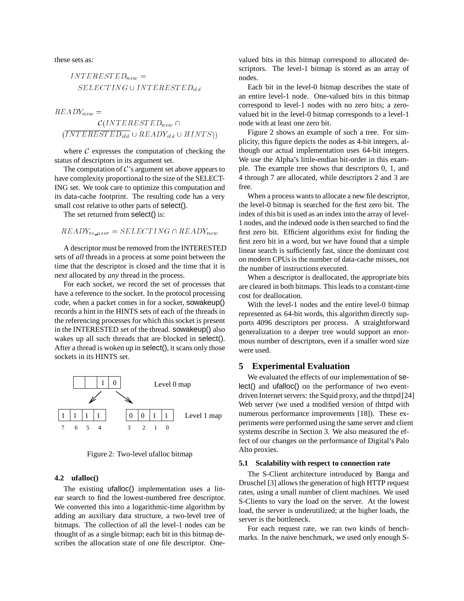these sets as:

 $INTERESTED_{new} =$  $SELECTING \cup INTERESTED_{old}$ 

$$
READV_{new} = \frac{C(INTERESTED_{new} \cap \frac{ (INTERESTED_{new})}{ (INTERESTED_{old} \cup READV_{old} \cup HINTS))}
$$

where  $C$  expresses the computation of checking the status of descriptors in its argument set.

The computation of  $\mathcal{C}'$ 's argument set above appears to have complexity proportional to the size of the SELECT-ING set. We took care to optimize this computation and its data-cache footprint. The resulting code has a very small cost relative to other parts of select().

The set returned from select() is:

 $READY_{to\_user} = SELECTING \cap READY_{new}$ 

A descriptor must be removed from the INTERESTED sets of *all* threads in a process at some point between the time that the descriptor is closed and the time that it is next allocated by *any* thread in the process.

For each socket, we record the set of processes that have a reference to the socket. In the protocol processing code, when a packet comes in for a socket, sowakeup() records a hint in the HINTS sets of each of the threads in the referencing processes for which this socket is present in the INTERESTED set of the thread. sowakeup() also wakes up all such threads that are blocked in select(). After a thread is woken up in select(), it scans only those sockets in its HINTS set.



Figure 2: Two-level ufalloc bitmap

#### **4.2 ufalloc()**

The existing ufalloc() implementation uses a linear search to find the lowest-numbered free descriptor. We converted this into a logarithmic-time algorithm by adding an auxiliary data structure, a two-level tree of bitmaps. The collection of all the level-1 nodes can be thought of as a single bitmap; each bit in this bitmap describes the allocation state of one file descriptor. Onevalued bits in this bitmap correspond to allocated descriptors. The level-1 bitmap is stored as an array of nodes.

Each bit in the level-0 bitmap describes the state of an entire level-1 node. One-valued bits in this bitmap correspond to level-1 nodes with no zero bits; a zerovalued bit in the level-0 bitmap corresponds to a level-1 node with at least one zero bit.

Figure 2 shows an example of such a tree. For simplicity, this figure depicts the nodes as 4-bit integers, although our actual implementation uses 64-bit integers. We use the Alpha's little-endian bit-order in this example. The example tree shows that descriptors 0, 1, and 4 through 7 are allocated, while descriptors 2 and 3 are free.

When a process wants to allocate a new file descriptor, the level-0 bitmap is searched for the first zero bit. The index of this bit is used as an index into the array of level-1 nodes, and the indexed node is then searched to find the first zero bit. Efficient algorithms exist for finding the first zero bit in a word, but we have found that a simple linear search is sufficiently fast, since the dominant cost on modern CPUs is the number of data-cache misses, not the number of instructions executed.

When a descriptor is deallocated, the appropriate bits are cleared in both bitmaps. This leads to a constant-time cost for deallocation.

With the level-1 nodes and the entire level-0 bitmap represented as 64-bit words, this algorithm directly supports 4096 descriptors per process. A straightforward generalization to a deeper tree would support an enormous number of descriptors, even if a smaller word size were used.

## **5 Experimental Evaluation**

We evaluated the effects of our implementation of select() and ufalloc() on the performance of two eventdriven Internet servers: the Squid proxy, and the thttpd[24] Web server (we used a modified version of thttpd with numerous performance improvements [18]). These experiments were performed using the same server and client systems describe in Section 3. We also measured the effect of our changes on the performance of Digital's Palo Alto proxies.

#### **5.1 Scalability with respect to connection rate**

The S-Client architecture introduced by Banga and Druschel [3] allows the generation of high HTTP request rates, using a small number of client machines. We used S-Clients to vary the load on the server. At the lowest load, the server is underutilized; at the higher loads, the server is the bottleneck.

For each request rate, we ran two kinds of benchmarks. In the naive benchmark, we used only enough S-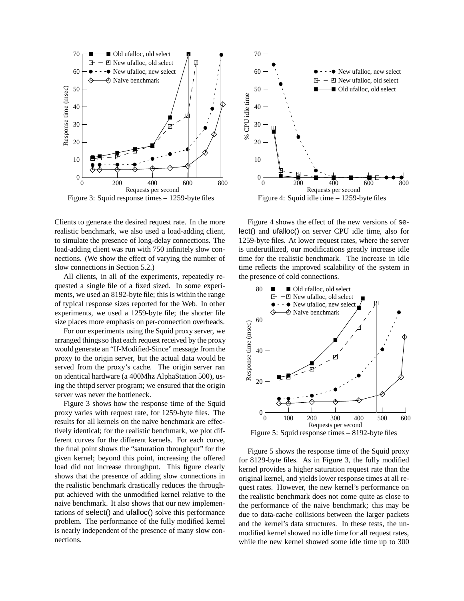

Figure 3: Squid response times – 1259-byte files

Clients to generate the desired request rate. In the more realistic benchmark, we also used a load-adding client, to simulate the presence of long-delay connections. The load-adding client was run with 750 infinitely slow connections. (We show the effect of varying the number of slow connections in Section 5.2.)

All clients, in all of the experiments, repeatedly requested a single file of a fixed sized. In some experiments, we used an 8192-byte file; this is within the range of typical response sizes reported for the Web. In other experiments, we used a 1259-byte file; the shorter file size places more emphasis on per-connection overheads.

For our experiments using the Squid proxy server, we arranged things so that each request received by the proxy would generate an "If-Modified-Since" message from the proxy to the origin server, but the actual data would be served from the proxy's cache. The origin server ran on identical hardware (a 400Mhz AlphaStation 500), using the thttpd server program; we ensured that the origin server was never the bottleneck.

Figure 3 shows how the response time of the Squid proxy varies with request rate, for 1259-byte files. The results for all kernels on the naive benchmark are effectively identical; for the realistic benchmark, we plot different curves for the different kernels. For each curve, the final point shows the "saturation throughput" for the given kernel; beyond this point, increasing the offered load did not increase throughput. This figure clearly shows that the presence of adding slow connections in the realistic benchmark drastically reduces the throughput achieved with the unmodified kernel relative to the naive benchmark. It also shows that our new implementations of select() and ufalloc() solve this performance problem. The performance of the fully modified kernel is nearly independent of the presence of many slow connections.



Figure 4 shows the effect of the new versions of select() and ufalloc() on server CPU idle time, also for 1259-byte files. At lower request rates, where the server is underutilized, our modifications greatly increase idle time for the realistic benchmark. The increase in idle time reflects the improved scalability of the system in the presence of cold connections.



Figure 5: Squid response times – 8192-byte files

Figure 5 shows the response time of the Squid proxy for 8129-byte files. As in Figure 3, the fully modified kernel provides a higher saturation request rate than the original kernel, and yields lower response times at all request rates. However, the new kernel's performance on the realistic benchmark does not come quite as close to the performance of the naive benchmark; this may be due to data-cache collisions between the larger packets and the kernel's data structures. In these tests, the unmodified kernel showed no idle time for all request rates, while the new kernel showed some idle time up to 300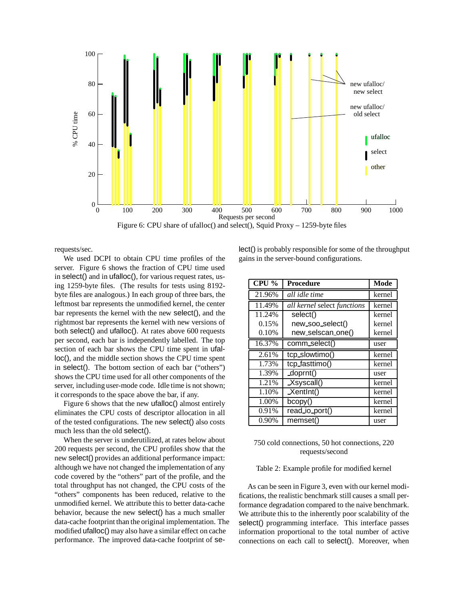

requests/sec.

We used DCPI to obtain CPU time profiles of the server. Figure 6 shows the fraction of CPU time used in select() and in ufalloc(), for various request rates, using 1259-byte files. (The results for tests using 8192 byte files are analogous.) In each group of three bars, the leftmost bar represents the unmodified kernel, the center bar represents the kernel with the new select(), and the rightmost bar represents the kernel with new versions of both select() and ufalloc(). At rates above 600 requests per second, each bar is independently labelled. The top section of each bar shows the CPU time spent in ufalloc(), and the middle section shows the CPU time spent in select(). The bottom section of each bar ("others") shows the CPU time used for all other components of the server, including user-mode code. Idle time is not shown; it corresponds to the space above the bar, if any.

Figure 6 shows that the new ufalloc() almost entirely eliminates the CPU costs of descriptor allocation in all of the tested configurations. The new select() also costs much less than the old select().

When the server is underutilized, at rates below about 200 requests per second, the CPU profiles show that the new select() provides an additional performance impact: although we have not changed the implementation of any code covered by the "others" part of the profile, and the total throughput has not changed, the CPU costs of the "others" components has been reduced, relative to the unmodified kernel. We attribute this to better data-cache behavior, because the new select() has a much smaller data-cache footprint than the original implementation. The modified ufalloc() may also have a similar effect on cache performance. The improved data-cache footprint of select() is probably responsible for some of the throughput gains in the server-bound configurations.

| $\overline{\text{CPU}}$ % | <b>Procedure</b>            | <b>Mode</b> |
|---------------------------|-----------------------------|-------------|
| 21.96%                    | all idle time               | kernel      |
| 11.49%                    | all kernel select functions | kernel      |
| 11.24%                    | select()                    | kernel      |
| 0.15%                     | new_soo_select()            | kernel      |
| 0.10%                     | new_selscan_one()           | kernel      |
| 16.37%                    | comm_select()               | user        |
| 2.61%                     | tcp_slowtimo()              | kernel      |
| 1.73%                     | tcp_fasttimo()              | kernel      |
| 1.39%                     | doprnt()                    | user        |
| 1.21%                     | $X$ syscall()               | kernel      |
| 1.10%                     | $X$ entlnt()                | kernel      |
| 1.00%                     | bcopy()                     | kernel      |
| 0.91%                     | read_io_port()              | kernel      |
| 0.90%                     | memset()                    | user        |

## 750 cold connections, 50 hot connections, 220 requests/second

#### Table 2: Example profile for modified kernel

As can be seen in Figure 3, even with our kernel modifications, the realistic benchmark still causes a small performance degradation compared to the naive benchmark. We attribute this to the inherently poor scalability of the select() programming interface. This interface passes information proportional to the total number of active connections on each call to select(). Moreover, when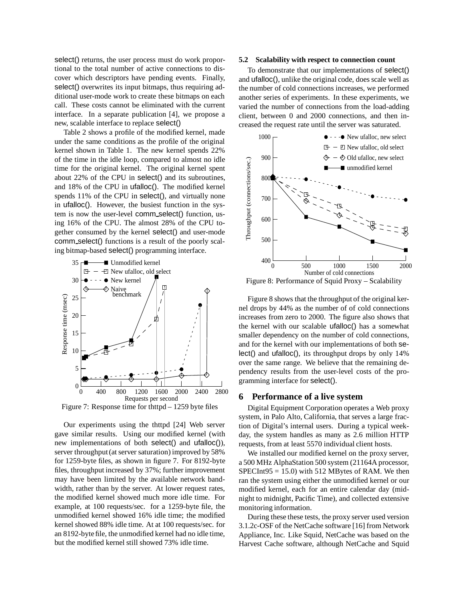select() returns, the user process must do work proportional to the total number of active connections to discover which descriptors have pending events. Finally, select() overwrites its input bitmaps, thus requiring additional user-mode work to create these bitmaps on each call. These costs cannot be eliminated with the current interface. In a separate publication [4], we propose a new, scalable interface to replace select()

Table 2 shows a profile of the modified kernel, made under the same conditions as the profile of the original kernel shown in Table 1. The new kernel spends 22% of the time in the idle loop, compared to almost no idle time for the original kernel. The original kernel spent about 22% of the CPU in select() and its subroutines, and 18% of the CPU in ufalloc(). The modified kernel spends 11% of the CPU in select(), and virtually none in ufalloc(). However, the busiest function in the system is now the user-level comm select() function, using 16% of the CPU. The almost 28% of the CPU together consumed by the kernel select() and user-mode comm select() functions is a result of the poorly scaling bitmap-based select() programming interface.



Figure 7: Response time for thttpd – 1259 byte files

Our experiments using the thttpd [24] Web server gave similar results. Using our modified kernel (with new implementations of both select() and ufalloc()), server throughput (at server saturation) improved by 58% for 1259-byte files, as shown in figure 7. For 8192-byte files, throughput increased by 37%; further improvement may have been limited by the available network bandwidth, rather than by the server. At lower request rates, the modified kernel showed much more idle time. For example, at 100 requests/sec. for a 1259-byte file, the unmodified kernel showed 16% idle time; the modified kernel showed 88% idle time. At at 100 requests/sec. for an 8192-byte file, the unmodified kernel had no idle time, but the modified kernel still showed 73% idle time.

#### **5.2 Scalability with respect to connection count**

To demonstrate that our implementations of select() and ufalloc(), unlike the original code, does scale well as the number of cold connections increases, we performed another series of experiments. In these experiments, we varied the number of connections from the load-adding client, between 0 and 2000 connections, and then increased the request rate until the server was saturated.



Figure 8: Performance of Squid Proxy – Scalability

Figure 8 shows that the throughput of the original kernel drops by 44% as the number of of cold connections increases from zero to 2000. The figure also shows that the kernel with our scalable ufalloc() has a somewhat smaller dependency on the number of cold connections, and for the kernel with our implementations of both select() and ufalloc(), its throughput drops by only 14% over the same range. We believe that the remaining dependency results from the user-level costs of the programming interface for select().

## **6 Performance of a live system**

Digital Equipment Corporation operates a Web proxy system, in Palo Alto, California, that serves a large fraction of Digital's internal users. During a typical weekday, the system handles as many as 2.6 million HTTP requests, from at least 5570 individual client hosts.

We installed our modified kernel on the proxy server, a 500 MHz AlphaStation 500 system (21164A processor,  $SPECTnt95 = 15.0$ ) with 512 MBytes of RAM. We then ran the system using either the unmodified kernel or our modified kernel, each for an entire calendar day (midnight to midnight, Pacific Time), and collected extensive monitoring information.

During these these tests, the proxy server used version 3.1.2c-OSF of the NetCache software [16] from Network Appliance, Inc. Like Squid, NetCache was based on the Harvest Cache software, although NetCache and Squid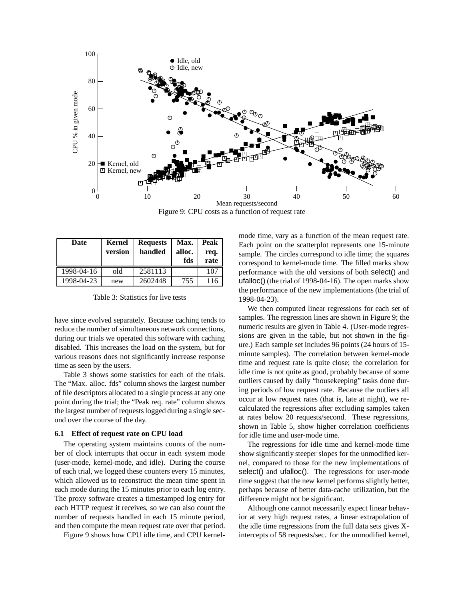

Figure 9: CPU costs as a function of request rate

| Date       | Kernel<br>version | <b>Requests</b><br>handled | Max.<br>alloc.<br>fds | Peak<br>req.<br>rate |
|------------|-------------------|----------------------------|-----------------------|----------------------|
| 1998-04-16 | old               | 2581113                    |                       | 107                  |
| 1998-04-23 | new               | 2602448                    | 755                   | 116                  |

Table 3: Statistics for live tests

have since evolved separately. Because caching tends to reduce the number of simultaneous network connections, during our trials we operated this software with caching disabled. This increases the load on the system, but for various reasons does not significantly increase response time as seen by the users.

Table 3 shows some statistics for each of the trials. The "Max. alloc. fds" column shows the largest number of file descriptors allocated to a single process at any one point during the trial; the "Peak req. rate" column shows the largest number of requests logged during a single second over the course of the day.

#### **6.1 Effect of request rate on CPU load**

The operating system maintains counts of the number of clock interrupts that occur in each system mode (user-mode, kernel-mode, and idle). During the course of each trial, we logged these counters every 15 minutes, which allowed us to reconstruct the mean time spent in each mode during the 15 minutes prior to each log entry. The proxy software creates a timestamped log entry for each HTTP request it receives, so we can also count the number of requests handled in each 15 minute period, and then compute the mean request rate over that period.

Figure 9 shows how CPU idle time, and CPU kernel-

mode time, vary as a function of the mean request rate. Each point on the scatterplot represents one 15-minute sample. The circles correspond to idle time; the squares correspond to kernel-mode time. The filled marks show performance with the old versions of both select() and ufalloc() (the trial of 1998-04-16). The open marks show the performance of the new implementations (the trial of 1998-04-23).

We then computed linear regressions for each set of samples. The regression lines are shown in Figure 9; the numeric results are given in Table 4. (User-mode regressions are given in the table, but not shown in the figure.) Each sample set includes 96 points (24 hours of 15 minute samples). The correlation between kernel-mode time and request rate is quite close; the correlation for idle time is not quite as good, probably because of some outliers caused by daily "housekeeping" tasks done during periods of low request rate. Because the outliers all occur at low request rates (that is, late at night), we recalculated the regressions after excluding samples taken at rates below 20 requests/second. These regressions, shown in Table 5, show higher correlation coefficients for idle time and user-mode time.

The regressions for idle time and kernel-mode time show significantly steeper slopes for the unmodified kernel, compared to those for the new implementations of select() and ufalloc(). The regressions for user-mode time suggest that the new kernel performs slightly better, perhaps because of better data-cache utilization, but the difference might not be significant.

Although one cannot necessarily expect linear behavior at very high request rates, a linear extrapolation of the idle time regressions from the full data sets gives Xintercepts of 58 requests/sec. for the unmodified kernel,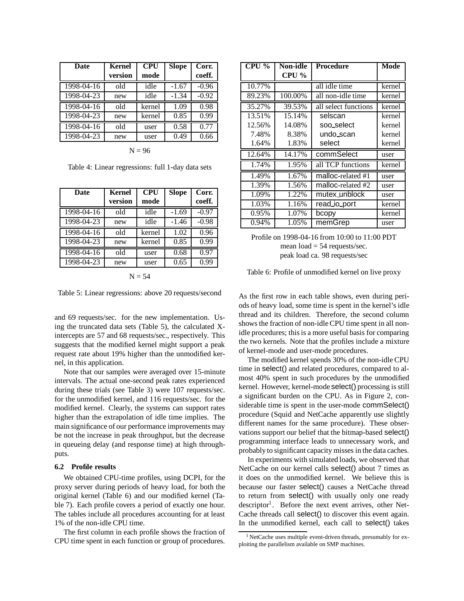| Date                        | <b>Kernel</b> | <b>CPU</b> | <b>Slope</b> | Corr.   |
|-----------------------------|---------------|------------|--------------|---------|
|                             | version       | mode       |              | coeff.  |
| 1998-04-16                  | old           | idle       | $-1.67$      | $-0.96$ |
| 1998-04-23                  | new           | idle       | $-1.34$      | $-0.92$ |
| $\overline{1998} - 04 - 16$ | old           | kernel     | 1.09         | 0.98    |
| 1998-04-23                  | new           | kernel     | 0.85         | 0.99    |
| 1998-04-16                  | old           | user       | 0.58         | 0.77    |
| 1998-04-23                  | new           | user       | 0.49         | 0.66    |
|                             |               |            |              |         |

 $N = 96$ 

Table 4: Linear regressions: full 1-day data sets

| <b>Kernel</b> | <b>CPU</b> | <b>Slope</b> | Corr.   |
|---------------|------------|--------------|---------|
| version       | mode       |              | coeff.  |
| old           | idle       | $-1.69$      | $-0.97$ |
| new           | idle       | $-1.46$      | $-0.98$ |
| old           | kernel     | 1.02         | 0.96    |
| new           | kernel     | 0.85         | 0.99    |
| old           | user       | 0.68         | 0.97    |
| new           | user       | 0.65         | 0.99    |
|               |            |              |         |

 $N = 54$ 

Table 5: Linear regressions: above 20 requests/second

and 69 requests/sec. for the new implementation. Using the truncated data sets (Table 5), the calculated Xintercepts are 57 and 68 requests/sec., respectively. This suggests that the modified kernel might support a peak request rate about 19% higher than the unmodified kernel, in this application.

Note that our samples were averaged over 15-minute intervals. The actual one-second peak rates experienced during these trials (see Table 3) were 107 requests/sec. for the unmodified kernel, and 116 requests/sec. for the modified kernel. Clearly, the systems can support rates higher than the extrapolation of idle time implies. The main significance of our performance improvements may be not the increase in peak throughput, but the decrease in queueing delay (and response time) at high throughputs.

#### **6.2 Profile results**

We obtained CPU-time profiles, using DCPI, for the proxy server during periods of heavy load, for both the original kernel (Table 6) and our modified kernel (Table 7). Each profile covers a period of exactly one hour. The tables include all procedures accounting for at least 1% of the non-idle CPU time.

The first column in each profile shows the fraction of CPU time spent in each function or group of procedures.

| CPU %  | Non-idle | Procedure            | Mode   |
|--------|----------|----------------------|--------|
|        | $CPU\%$  |                      |        |
| 10.77% |          | all idle time        | kernel |
| 89.23% | 100.00%  | all non-idle time    | kernel |
| 35.27% | 39.53%   | all select functions | kernel |
| 13.51% | 15.14%   | selscan              | kernel |
| 12.56% | 14.08%   | soo_select           | kernel |
| 7.48%  | 8.38%    | undo_scan            | kernel |
| 1.64%  | 1.83%    | select               | kernel |
| 12.64% | 14.17%   | commSelect           | user   |
| 1.74%  | 1.95%    | all TCP functions    | kernel |
| 1.49%  | 1.67%    | malloc-related #1    | user   |
| 1.39%  | 1.56%    | malloc-related #2    | user   |
| 1.09%  | 1.22%    | mutex_unblock        | user   |
| 1.03%  | 1.16%    | read_io_port         | kernel |
| 0.95%  | 1.07%    | bcopy                | kernel |
| 0.94%  | 1.05%    | memGrep              | user   |

Profile on 1998-04-16 from 10:00 to 11:00 PDT mean  $load = 54$  requests/sec. peak load ca. 98 requests/sec

Table 6: Profile of unmodified kernel on live proxy

As the first row in each table shows, even during periods of heavy load, some time is spent in the kernel's idle thread and its children. Therefore, the second column shows the fraction of non-idle CPU time spent in all nonidle procedures; this is a more useful basis for comparing the two kernels. Note that the profiles include a mixture of kernel-mode and user-mode procedures.

The modified kernel spends 30% of the non-idle CPU time in select() and related procedures, compared to almost 40% spent in such procedures by the unmodified kernel. However, kernel-mode select() processing is still a significant burden on the CPU. As in Figure 2, considerable time is spent in the user-mode commSelect() procedure (Squid and NetCache apparently use slightly different names for the same procedure). These observations support our belief that the bitmap-based select() programming interface leads to unnecessary work, and probably to significant capacity misses in the data caches.

In experiments with simulated loads, we observed that NetCache on our kernel calls select() about 7 times as it does on the unmodified kernel. We believe this is because our faster select() causes a NetCache thread to return from select() with usually only one ready descriptor<sup>1</sup>. Before the next event arrives, other Net-Cache threads call select() to discover this event again. In the unmodified kernel, each call to select() takes

<sup>&</sup>lt;sup>1</sup>NetCache uses multiple event-driven threads, presumably for exploiting the parallelism available on SMP machines.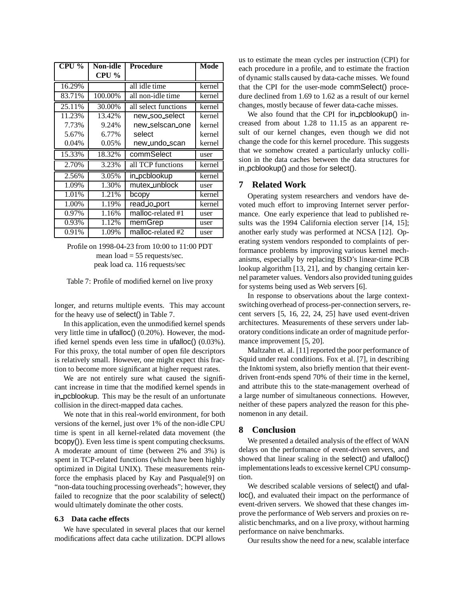| CPU %  | Non-idle | <b>Procedure</b>     | Mode   |
|--------|----------|----------------------|--------|
|        | CPU %    |                      |        |
| 16.29% |          | all idle time        | kernel |
| 83.71% | 100.00%  | all non-idle time    | kernel |
| 25.11% | 30.00%   | all select functions | kernel |
| 11.23% | 13.42%   | new_soo_select       | kernel |
| 7.73%  | 9.24%    | new_selscan_one      | kernel |
| 5.67%  | 6.77%    | select               | kernel |
| 0.04%  | 0.05%    | new_undo_scan        | kernel |
| 15.33% | 18.32%   | commSelect           | user   |
| 2.70%  | 3.23%    | all TCP functions    | kernel |
| 2.56%  | 3.05%    | in_pcblookup         | kernel |
| 1.09%  | 1.30%    | mutex_unblock        | user   |
| 1.01%  | 1.21%    | bcopy                | kernel |
| 1.00%  | 1.19%    | read_io_port         | kernel |
| 0.97%  | 1.16%    | malloc-related #1    | user   |
| 0.93%  | 1.12%    | memGrep              | user   |
| 0.91%  | 1.09%    | malloc-related #2    | user   |

Profile on 1998-04-23 from 10:00 to 11:00 PDT mean  $load = 55$  requests/sec. peak load ca. 116 requests/sec

longer, and returns multiple events. This may account for the heavy use of select() in Table 7.

In this application, even the unmodified kernel spends very little time in ufalloc() (0.20%). However, the modified kernel spends even less time in ufalloc() (0.03%). For this proxy, the total number of open file descriptors is relatively small. However, one might expect this fraction to become more significant at higher request rates.

We are not entirely sure what caused the significant increase in time that the modified kernel spends in in pcblookup. This may be the result of an unfortunate collision in the direct-mapped data caches.

We note that in this real-world environment, for both versions of the kernel, just over 1% of the non-idle CPU time is spent in all kernel-related data movement (the bcopy()). Even less time is spent computing checksums. A moderate amount of time (between 2% and 3%) is spent in TCP-related functions (which have been highly optimized in Digital UNIX). These measurements reinforce the emphasis placed by Kay and Pasquale[9] on "non-data touching processing overheads"; however, they failed to recognize that the poor scalability of select() would ultimately dominate the other costs.

#### **6.3 Data cache effects**

We have speculated in several places that our kernel modifications affect data cache utilization. DCPI allows us to estimate the mean cycles per instruction (CPI) for each procedure in a profile, and to estimate the fraction of dynamic stalls caused by data-cache misses. We found that the CPI for the user-mode commSelect() procedure declined from 1.69 to 1.62 as a result of our kernel changes, mostly because of fewer data-cache misses.

We also found that the CPI for in pcblookup() increased from about 1.28 to 11.15 as an apparent result of our kernel changes, even though we did not change the code for this kernel procedure. This suggests that we somehow created a particularly unlucky collision in the data caches between the data structures for in pcblookup() and those for select().

#### **7 Related Work**

Operating system researchers and vendors have devoted much effort to improving Internet server performance. One early experience that lead to published results was the 1994 California election server [14, 15]; another early study was performed at NCSA [12]. Operating system vendors responded to complaints of performance problems by improving various kernel mechanisms, especially by replacing BSD's linear-time PCB lookup algorithm [13, 21], and by changing certain kernel parameter values. Vendors also provided tuning guides for systems being used as Web servers [6].

In response to observations about the large contextswitching overhead of process-per-connection servers, recent servers [5, 16, 22, 24, 25] have used event-driven architectures. Measurements of these servers under laboratory conditions indicate an order of magnitude performance improvement [5, 20].

Maltzahn et. al. [11] reported the poor performance of Squid under real conditions. Fox et al. [7], in describing the Inktomi system, also briefly mention that their eventdriven front-ends spend 70% of their time in the kernel, and attribute this to the state-management overhead of a large number of simultaneous connections. However, neither of these papers analyzed the reason for this phenomenon in any detail.

#### **8 Conclusion**

We presented a detailed analysis of the effect of WAN delays on the performance of event-driven servers, and showed that linear scaling in the select() and ufalloc() implementations leads to excessive kernel CPU consumption.

We described scalable versions of select() and ufalloc(), and evaluated their impact on the performance of event-driven servers. We showed that these changes improve the performance of Web servers and proxies on realistic benchmarks, and on a live proxy, without harming performance on naive benchmarks.

Our results show the need for a new, scalable interface